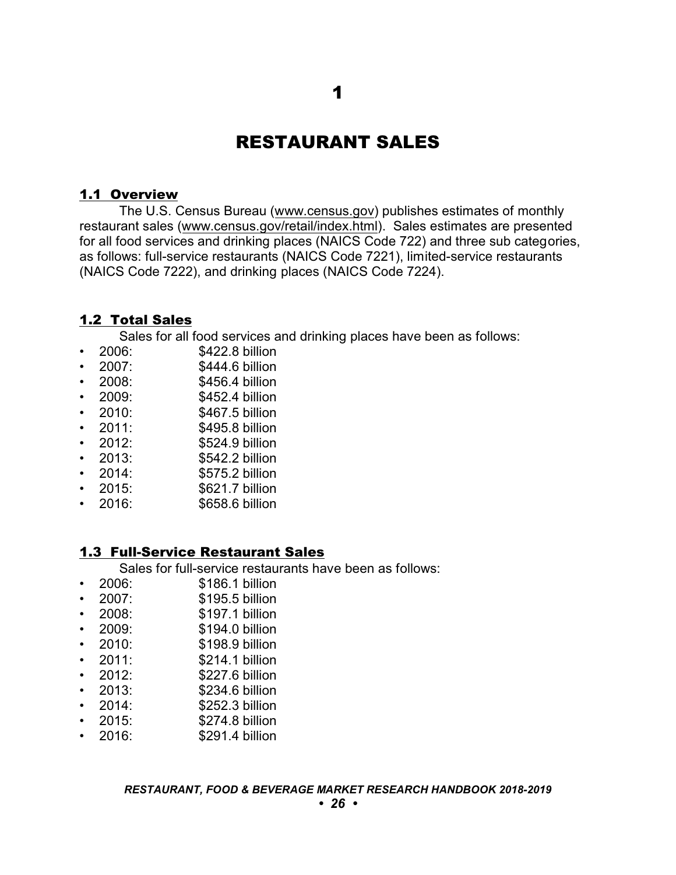# RESTAURANT SALES

## 1.1 Overview

The U.S. Census Bureau ([www.census.gov](http://www.census.gov)) publishes estimates of monthly restaurant sales ([www.census.gov/retail/index.html](http://www.census.gov/retail/index.html)). Sales estimates are presented for all food services and drinking places (NAICS Code 722) and three sub categories, as follows: full-service restaurants (NAICS Code 7221), limited-service restaurants (NAICS Code 7222), and drinking places (NAICS Code 7224).

### 1.2 Total Sales

Sales for all food services and drinking places have been as follows:

- 2006: \$422.8 billion
- 2007: \$444.6 billion
- 2008: \$456.4 billion
- 2009: \$452.4 billion
- 2010: \$467.5 billion
- 2011: \$495.8 billion
- 2012: \$524.9 billion
- 2013: \$542.2 billion
- 2014: \$575.2 billion
- 2015: \$621.7 billion
- 2016: \$658.6 billion

### 1.3 Full-Service Restaurant Sales

Sales for full-service restaurants have been as follows:<br>2006: \$186.1 billion

- \$186.1 billion
- 2007: \$195.5 billion
- 2008: \$197.1 billion
- 2009: \$194.0 billion
- 2010: \$198.9 billion
- 2011: \$214.1 billion
- 2012: \$227.6 billion
- 2013: \$234.6 billion
- 2014: \$252.3 billion
- 
- 2015: \$274.8 billion
- 2016: \$291.4 billion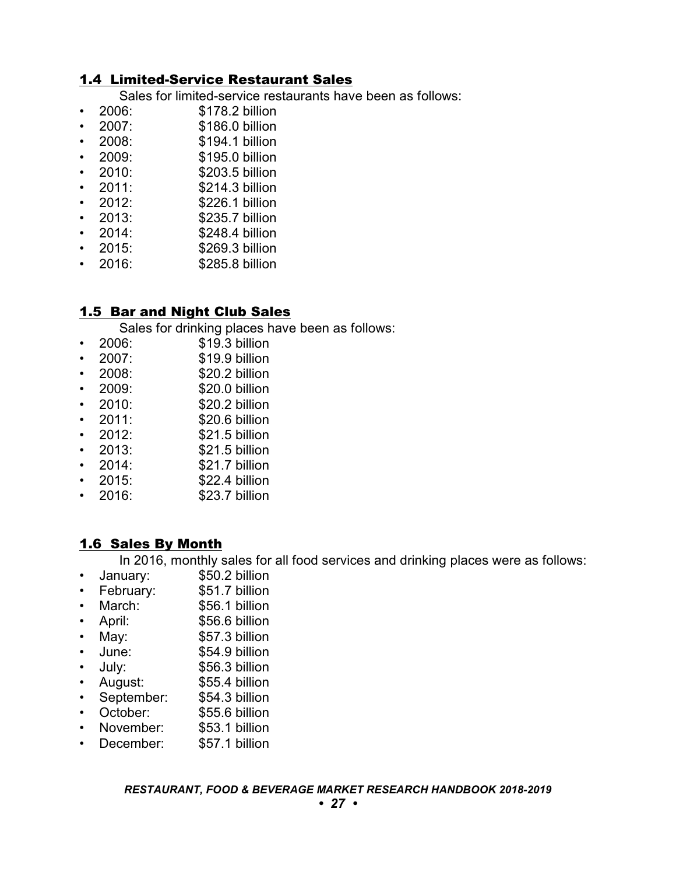## 1.4 Limited-Service Restaurant Sales

Sales for limited-service restaurants have been as follows:<br>  $\bullet$  2006: \$178.2 billion

- \$178.2 billion
- 2007: \$186.0 billion
- 2008: \$194.1 billion
- 2009: \$195.0 billion
- 2010: \$203.5 billion
- 2011: \$214.3 billion
- 2012: \$226.1 billion
- 2013: \$235.7 billion
- 2014: \$248.4 billion
- 2015: \$269.3 billion
- 2016: \$285.8 billion

## 1.5 Bar and Night Club Sales

Sales for drinking places have been as follows:

- 2006: \$19.3 billion
- 2007: \$19.9 billion
- 2008: \$20.2 billion
- 2009: \$20.0 billion
- 
- 2010: \$20.2 billion \$20.6 billion
- 2012: \$21.5 billion
- 2013: \$21.5 billion
- 2014: \$21.7 billion
- 2015: \$22.4 billion
- 2016: \$23.7 billion

## 1.6 Sales By Month

In 2016, monthly sales for all food services and drinking places were as follows:

- January: \$50.2 billion
- February: \$51.7 billion
- March: \$56.1 billion
- April: \$56.6 billion
- May: \$57.3 billion
- June: \$54.9 billion
- July: \$56.3 billion
- August: \$55.4 billion
- September: \$54.3 billion
- October: \$55.6 billion
- November: \$53.1 billion
- December: \$57.1 billion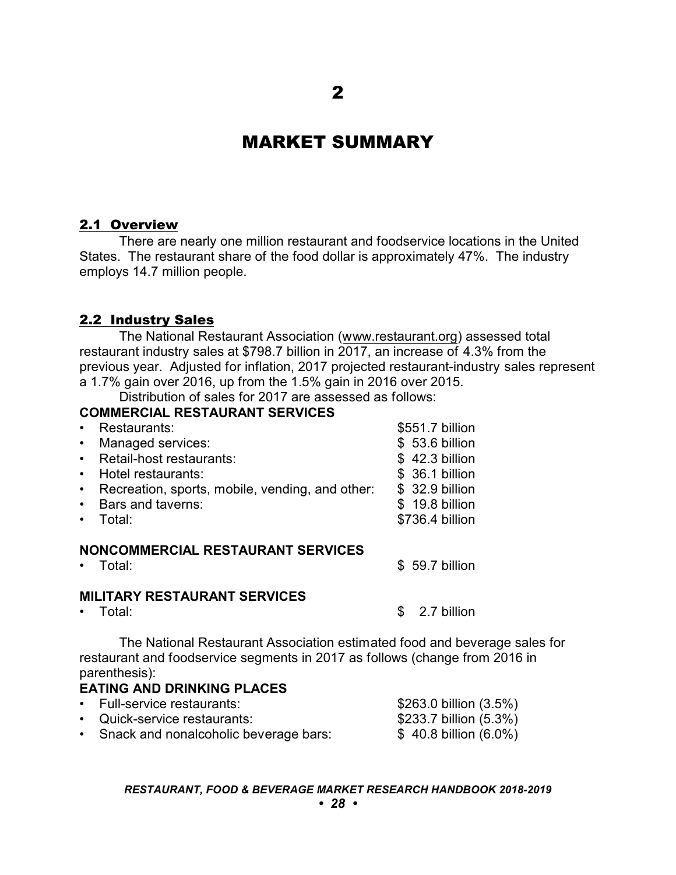## MARKET SUMMARY

## 2.1 Overview

There are nearly one million restaurant and foodservice locations in the United States. The restaurant share of the food dollar is approximately 47%. The industry employs 14.7 million people.

### 2.2 Industry Sales

The National Restaurant Association [\(www.restaurant.org](http://www.restaurant.org)) assessed total restaurant industry sales at \$798.7 billion in 2017, an increase of 4.3% from the previous year. Adjusted for inflation, 2017 projected restaurant-industry sales represent a 1.7% gain over 2016, up from the 1.5% gain in 2016 over 2015.

Distribution of sales for 2017 are assessed as follows:

## **COMMERCIAL RESTAURANT SERVICES**

| Restaurants:                                                 | \$551.7 billion |  |
|--------------------------------------------------------------|-----------------|--|
| Managed services:<br>$\bullet$                               | \$53.6 billion  |  |
| Retail-host restaurants:<br>$\bullet$                        | \$42.3 billion  |  |
| Hotel restaurants:<br>$\bullet$                              | \$ 36.1 billion |  |
| Recreation, sports, mobile, vending, and other:<br>$\bullet$ | \$ 32.9 billion |  |
| Bars and taverns:<br>$\bullet$                               | \$ 19.8 billion |  |
| Total:                                                       | \$736.4 billion |  |
| NONCOMMERCIAL RESTAURANT SERVICES<br>Total:                  | \$59.7 billion  |  |
| <b>MILITARY RESTAURANT SERVICES</b>                          |                 |  |

• Total: Sample 2.7 billion

The National Restaurant Association estimated food and beverage sales for restaurant and foodservice segments in 2017 as follows (change from 2016 in parenthesis):

### **EATING AND DRINKING PLACES**

| • Full-service restaurants:             | \$263.0 billion (3.5%) |
|-----------------------------------------|------------------------|
| • Quick-service restaurants:            | \$233.7 billion (5.3%) |
| • Snack and nonalcoholic beverage bars: | $$40.8$ billion (6.0%) |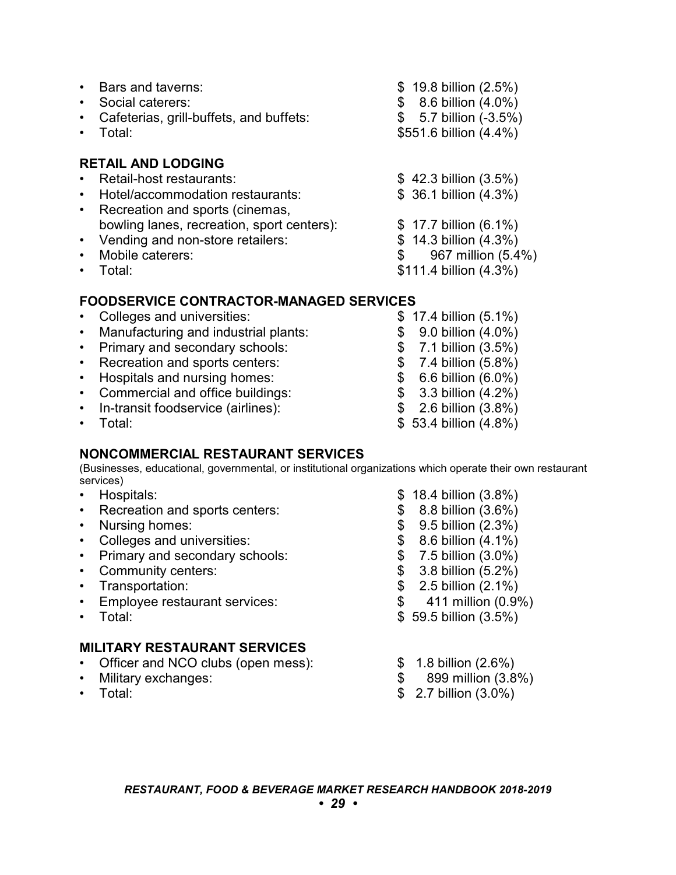|                        | Bars and taverns:<br>Social caterers:<br>Cafeterias, grill-buffets, and buffets:<br>Total:                                   | $$19.8$ billion (2.5%)<br>8.6 billion (4.0%)<br>5.7 billion (-3.5%)<br>\$<br>\$551.6 billion (4.4%) |
|------------------------|------------------------------------------------------------------------------------------------------------------------------|-----------------------------------------------------------------------------------------------------|
| $\bullet$<br>$\bullet$ | <b>RETAIL AND LODGING</b><br>Retail-host restaurants:<br>Hotel/accommodation restaurants:<br>Recreation and sports (cinemas, | $$42.3$ billion $(3.5%)$<br>\$ 36.1 billion (4.3%)                                                  |
|                        | bowling lanes, recreation, sport centers):<br>• Vending and non-store retailers:<br>Mobile caterers:<br>Total:               | $$17.7$ billion (6.1%)<br>$$14.3$ billion $(4.3%)$<br>967 million (5.4%)<br>\$111.4 billion (4.3%)  |

### **FOODSERVICE CONTRACTOR-MANAGED SERVICES**

| • Colleges and universities:           | $$17.4$ billion (5.1%)    |
|----------------------------------------|---------------------------|
| • Manufacturing and industrial plants: | $$9.0$ billion $(4.0\%)$  |
| • Primary and secondary schools:       | $$7.1$ billion $(3.5%)$   |
| • Recreation and sports centers:       | $$7.4$ billion (5.8%)     |
| • Hospitals and nursing homes:         | $$6.6$ billion (6.0%)     |
| • Commercial and office buildings:     | $$3.3$ billion $(4.2%)$   |
| • In-transit foodservice (airlines):   | $$2.6$ billion $(3.8%)$   |
| $\cdot$ Total:                         | $$53.4$ billion $(4.8\%)$ |

### **NONCOMMERCIAL RESTAURANT SERVICES**

(Businesses, educational, governmental, or institutional organizations which operate their own restaurant services)

- 
- Hospitals: \$ 18.4 billion (3.8%) • Recreation and sports centers:
- 
- Nursing homes: \$ 9.5 billion (2.3%)<br>• Colleges and universities: \$ 8.6 billion (4.1%)
- Colleges and universities: \$ 8.6 billion (4.1%)<br>• Primary and secondary schools: \$ 7.5 billion (3.0%) • Primary and secondary schools:  $\begin{array}{ccc} \text{•} & \text{9} & \text{7.5 billion (3.0\%)} \\ \text{•} & \text{Commonuity centers:} & \text{$} & \text{3.8 billion (5.2\%)} \end{array}$
- Community centers:<br>• Transportation:
- 
- Employee restaurant services: \$ 411 million (0.9%)
- 

## **MILITARY RESTAURANT SERVICES**

- Officer and NCO clubs (open mess):  $\begin{array}{ccc} \text{$} & 1.8 \text{ billion (2.6%)} \\ \text{•} & \text{Mility exchanges:} \end{array}$
- Military exchanges:  $$899$  million (3.8%)
- 
- 
- 
- 
- 
- 
- 
- $$ 2.5$  billion  $(2.1\%)$ 
	-
- Total:  $$59.5$  billion  $(3.5\%)$ 
	-
	-
- Total:  $$ 2.7 \text{ billion} (3.0\%)$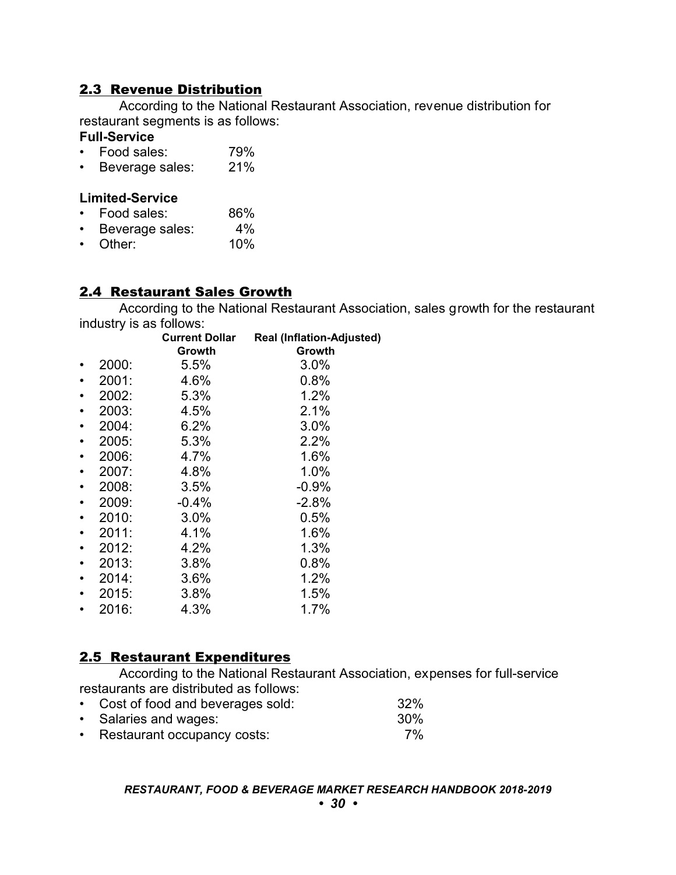## 2.3 Revenue Distribution

According to the National Restaurant Association, revenue distribution for restaurant segments is as follows:

#### **Full-Service**

- Food sales: 79%
- Beverage sales: 21%

#### **Limited-Service**

- Food sales: 86%
- Beverage sales: 4%<br>• Other: 10%
- $\cdot$  Other:

## 2.4 Restaurant Sales Growth

According to the National Restaurant Association, sales growth for the restaurant industry is as follows:

|       | <b>Current Dollar</b><br>Growth | <b>Real (Inflation-Adjusted)</b><br>Growth |
|-------|---------------------------------|--------------------------------------------|
| 2000: | 5.5%                            | 3.0%                                       |
| 2001: | 4.6%                            | 0.8%                                       |
| 2002: | 5.3%                            | 1.2%                                       |
| 2003: | 4.5%                            | 2.1%                                       |
| 2004: | 6.2%                            | 3.0%                                       |
| 2005: | 5.3%                            | 2.2%                                       |
| 2006: | 4.7%                            | 1.6%                                       |
| 2007: | 4.8%                            | 1.0%                                       |
| 2008: | 3.5%                            | $-0.9%$                                    |
| 2009: | $-0.4%$                         | $-2.8%$                                    |
| 2010: | 3.0%                            | 0.5%                                       |
| 2011: | 4.1%                            | 1.6%                                       |
| 2012: | 4.2%                            | 1.3%                                       |
| 2013: | 3.8%                            | 0.8%                                       |
| 2014: | 3.6%                            | 1.2%                                       |
| 2015: | 3.8%                            | 1.5%                                       |
| 2016: | 4.3%                            | 1.7%                                       |

### 2.5 Restaurant Expenditures

According to the National Restaurant Association, expenses for full-service restaurants are distributed as follows:

- Cost of food and beverages sold: 32% • Salaries and wages: 30%
- Restaurant occupancy costs: 7%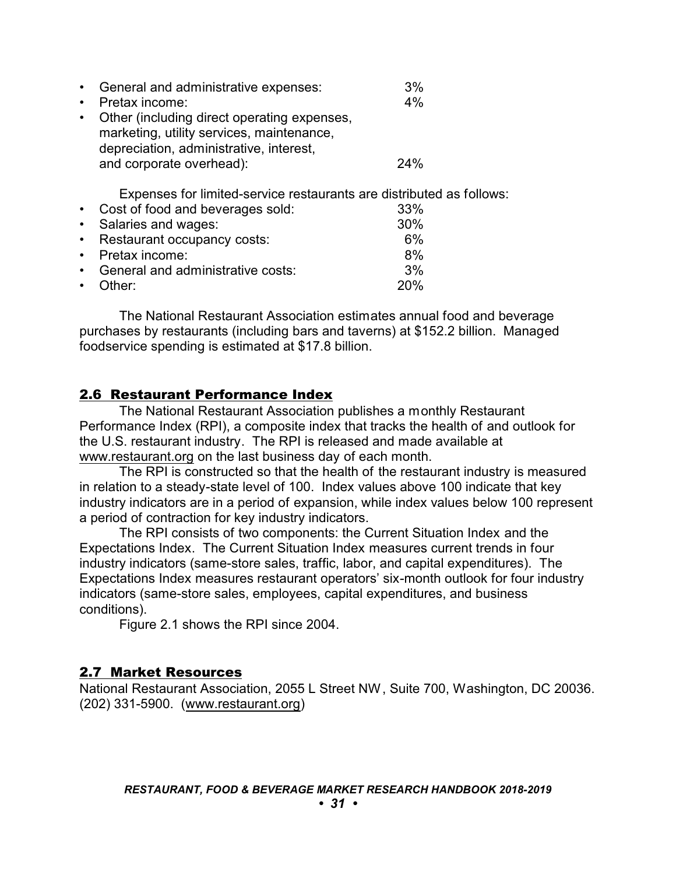| General and administrative expenses:                                                                                                                            | 3%  |
|-----------------------------------------------------------------------------------------------------------------------------------------------------------------|-----|
| Pretax income:                                                                                                                                                  | 4%  |
| Other (including direct operating expenses,<br>marketing, utility services, maintenance,<br>depreciation, administrative, interest,<br>and corporate overhead): | 24% |
| Expenses for limited-service restaurants are distributed                                                                                                        |     |
| Cost of food and beverages sold:                                                                                                                                | 33% |
| Salaries and wages:                                                                                                                                             | 30% |
| Restaurant occupancy costs:                                                                                                                                     | 6%  |

- Pretax income: 8% • General and administrative costs: 3%
- Other: 20%

The National Restaurant Association estimates annual food and beverage purchases by restaurants (including bars and taverns) at \$152.2 billion. Managed foodservice spending is estimated at \$17.8 billion.

as follows:

#### 2.6 Restaurant Performance Index

The National Restaurant Association publishes a monthly Restaurant Performance Index (RPI), a composite index that tracks the health of and outlook for the U.S. restaurant industry. The RPI is released and made available at [www.restaurant.org](http://www.restaurant.org) on the last business day of each month.

The RPI is constructed so that the health of the restaurant industry is measured in relation to a steady-state level of 100. Index values above 100 indicate that key industry indicators are in a period of expansion, while index values below 100 represent a period of contraction for key industry indicators.

The RPI consists of two components: the Current Situation Index and the Expectations Index. The Current Situation Index measures current trends in four industry indicators (same-store sales, traffic, labor, and capital expenditures). The Expectations Index measures restaurant operators' six-month outlook for four industry indicators (same-store sales, employees, capital expenditures, and business conditions).

Figure 2.1 shows the RPI since 2004.

#### 2.7 Market Resources

National Restaurant Association, 2055 L Street NW, Suite 700, Washington, DC 20036. (202) 331-5900. [\(www.restaurant.org](http://www.restaurant.org))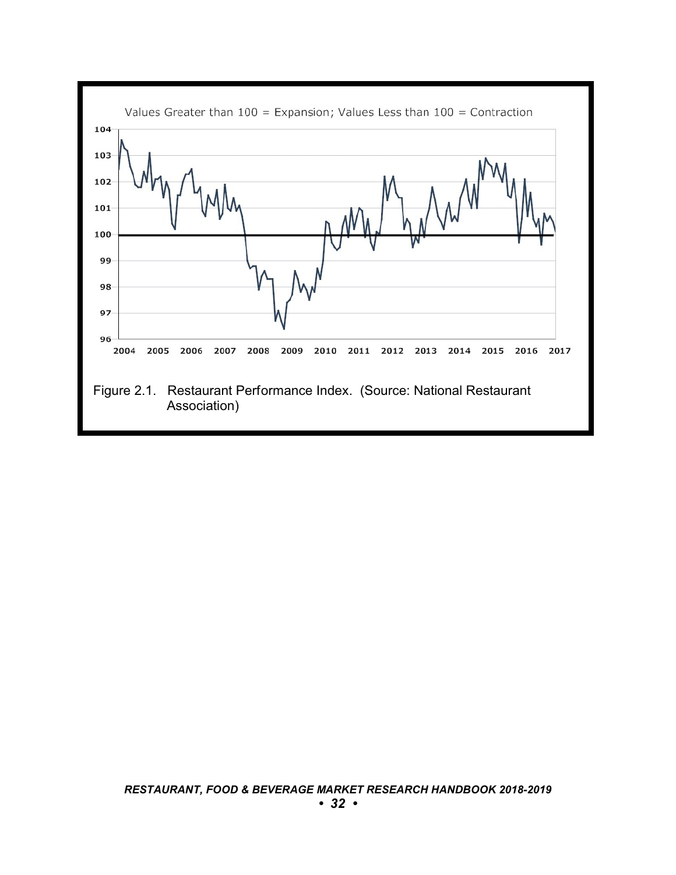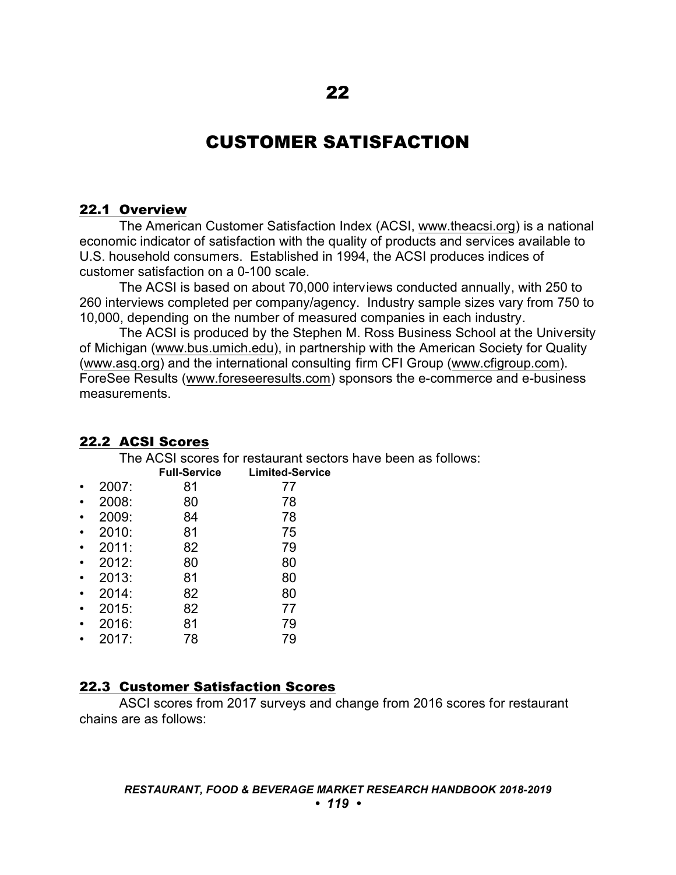## CUSTOMER SATISFACTION

#### 22.1 Overview

The American Customer Satisfaction Index (ACSI, [www.theacsi.org](http://www.theacsi.org)) is a national economic indicator of satisfaction with the quality of products and services available to U.S. household consumers. Established in 1994, the ACSI produces indices of customer satisfaction on a 0-100 scale.

The ACSI is based on about 70,000 interviews conducted annually, with 250 to 260 interviews completed per company/agency. Industry sample sizes vary from 750 to 10,000, depending on the number of measured companies in each industry.

The ACSI is produced by the Stephen M. Ross Business School at the University of Michigan [\(www.bus.umich.edu](http://www.bus.umich.edu)), in partnership with the American Society for Quality [\(www.asq.org](http://www.asq.org)) and the international consulting firm CFI Group [\(www.cfigroup.com](http://www.cfigroup.com)). ForeSee Results [\(www.foreseeresults.com](http://www.foreseeresults.com)) sponsors the e-commerce and e-business measurements.

sectors have been as follows:

| The ACSI scores for restaurant secto |                     |                        |
|--------------------------------------|---------------------|------------------------|
|                                      | <b>Full-Service</b> | <b>Limited-Service</b> |
| 2007:                                | 81                  | 77                     |
| 2008:                                | 80                  | 78                     |
| 2009:                                | 84                  | 78                     |
| 2010:                                | 81                  | 75                     |
| 2011:                                | 82                  | 79                     |
| 2012:                                | 80                  | 80                     |
| 2013:                                | 81                  | 80                     |
| 2014:                                | 82                  | 80                     |
| 2015:                                | 82                  | 77                     |
| 2016:                                | 81                  | 79                     |
| 2017:                                | 78                  | 79                     |
|                                      |                     |                        |

#### 22.2 ACSI Scores

### 22.3 Customer Satisfaction Scores

ASCI scores from 2017 surveys and change from 2016 scores for restaurant chains are as follows: